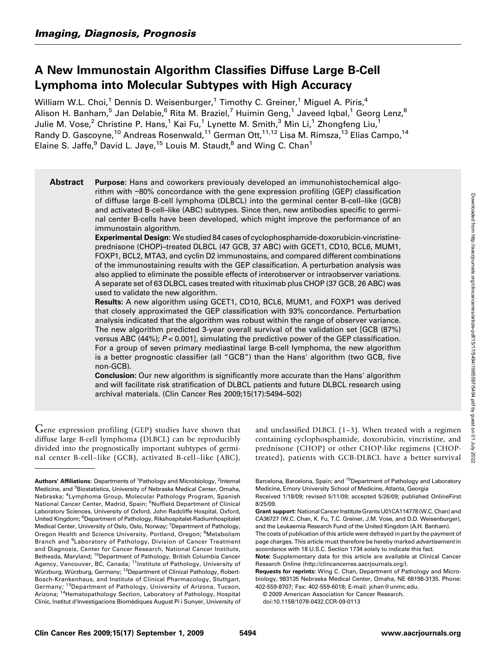# A New Immunostain Algorithm Classifies Diffuse Large B-Cell Lymphoma into Molecular Subtypes with High Accuracy

William W.L. Choi,<sup>1</sup> Dennis D. Weisenburger,<sup>1</sup> Timothy C. Greiner,<sup>1</sup> Miguel A. Piris,<sup>4</sup> Alison H. Banham,<sup>5</sup> Jan Delabie,<sup>6</sup> Rita M. Braziel,<sup>7</sup> Huimin Geng,<sup>1</sup> Javeed Iqbal,<sup>1</sup> Georg Lenz,<sup>8</sup> Julie M. Vose,<sup>2</sup> Christine P. Hans,<sup>1</sup> Kai Fu,<sup>1</sup> Lynette M. Smith,<sup>3</sup> Min Li,<sup>1</sup> Zhongfeng Liu,<sup>1</sup> Randy D. Gascoyne,<sup>10</sup> Andreas Rosenwald,<sup>11</sup> German Ott,<sup>11,12</sup> Lisa M. Rimsza,<sup>13</sup> Elias Campo,<sup>14</sup> Elaine S. Jaffe, $9$  David L. Jaye,<sup>15</sup> Louis M. Staudt, $8$  and Wing C. Chan<sup>1</sup>

Abstract Purpose: Hans and coworkers previously developed an immunohistochemical algorithm with ∼80% concordance with the gene expression profiling (GEP) classification of diffuse large B-cell lymphoma (DLBCL) into the germinal center B-cell–like (GCB) and activated B-cell–like (ABC) subtypes. Since then, new antibodies specific to germinal center B-cells have been developed, which might improve the performance of an immunostain algorithm.

> Experimental Design: We studied 84 cases of cyclophosphamide-doxorubicin-vincristineprednisone (CHOP)–treated DLBCL (47 GCB, 37 ABC) with GCET1, CD10, BCL6, MUM1, FOXP1, BCL2, MTA3, and cyclin D2 immunostains, and compared different combinations of the immunostaining results with the GEP classification. A perturbation analysis was also applied to eliminate the possible effects of interobserver or intraobserver variations. A separate set of 63 DLBCL cases treated with rituximab plus CHOP (37 GCB, 26 ABC) was used to validate the new algorithm.

> Results: A new algorithm using GCET1, CD10, BCL6, MUM1, and FOXP1 was derived that closely approximated the GEP classification with 93% concordance. Perturbation analysis indicated that the algorithm was robust within the range of observer variance. The new algorithm predicted 3-year overall survival of the validation set [GCB (87%) versus ABC (44%);  $P < 0.001$ , simulating the predictive power of the GEP classification. For a group of seven primary mediastinal large B-cell lymphoma, the new algorithm is a better prognostic classifier (all "GCB") than the Hans' algorithm (two GCB, five non-GCB).

> **Conclusion:** Our new algorithm is significantly more accurate than the Hans' algorithm and will facilitate risk stratification of DLBCL patients and future DLBCL research using archival materials. (Clin Cancer Res 2009;15(17):5494–502)

Gene expression profiling (GEP) studies have shown that diffuse large B-cell lymphoma (DLBCL) can be reproducibly divided into the prognostically important subtypes of germinal center B-cell–like (GCB), activated B-cell–like (ABC), and unclassified DLBCL (1–3). When treated with a regimen containing cyclophosphamide, doxorubicin, vincristine, and prednisone (CHOP) or other CHOP-like regimens (CHOPtreated), patients with GCB-DLBCL have a better survival

Barcelona, Barcelona, Spain; and <sup>15</sup>Department of Pathology and Laboratory Medicine, Emory University School of Medicine, Atlanta, Georgia

The costs of publication of this article were defrayed in part by the payment of page charges. This article must therefore be hereby marked advertisement in accordance with 18 U.S.C. Section 1734 solely to indicate this fact.

Note: Supplementary data for this article are available at Clinical Cancer Research Online (http://clincancerres.aacrjournals.org/).

Requests for reprints: Wing C. Chan, Department of Pathology and Microbiology, 983135 Nebraska Medical Center, Omaha, NE 68198-3135. Phone: 402-559-8707; Fax: 402-559-6018; E-mail: jchan@unmc.edu.

© 2009 American Association for Cancer Research.

doi:10.1158/1078-0432.CCR-09-0113

Authors' Affiliations: Departments of <sup>1</sup>Pathology and Microbiology, <sup>2</sup>Internal Medicine, and <sup>3</sup>Biostatistics, University of Nebraska Medical Center, Omaha, Nebraska; <sup>4</sup>Lymphoma Group, Molecular Pathology Program, Spanish National Cancer Center, Madrid, Spain; <sup>5</sup>Nuffield Department of Clinical Laboratory Sciences, University of Oxford, John Radcliffe Hospital, Oxford, United Kingdom; <sup>6</sup>Department of Pathology, Rikshospitalet-Radiumhospitalet Medical Center, University of Oslo, Oslo, Norway; <sup>7</sup>Department of Pathology, Oregon Health and Science University, Portland, Oregon; <sup>8</sup>Metabolism Branch and <sup>9</sup>Laboratory of Pathology, Division of Cancer Treatment and Diagnosis, Center for Cancer Research, National Cancer Institute, Bethesda, Maryland; <sup>10</sup>Department of Pathology, British Columbia Cancer Agency, Vancouver, BC, Canada; <sup>11</sup>Institute of Pathology, University of Würzburg, Würzburg, Germany; <sup>12</sup>Department of Clinical Pathology, Robert-Bosch-Krankenhaus, and Institute of Clinical Pharmacology, Stuttgart, Germany; 13Department of Pathology, University of Arizona, Tucson, Arizona; <sup>14</sup>Hematopathology Section, Laboratory of Pathology, Hospital Clínic, Institut d'Investigacions Biomèdiques August Pi i Sunyer, University of

Received 1/18/09; revised 5/11/09; accepted 5/26/09; published OnlineFirst 8/25/09.

Grant support: National Cancer Institute Grants U01CA114778 (W.C. Chan) and CA36727 (W.C. Chan, K. Fu, T.C. Greiner, J.M. Vose, and D.D. Weisenburger), and the Leukaemia Research Fund of the United Kingdom (A.H. Banham).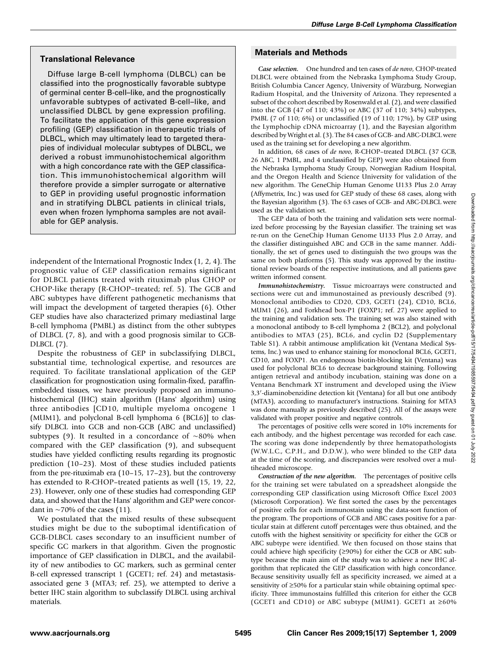### Translational Relevance

Diffuse large B-cell lymphoma (DLBCL) can be classified into the prognostically favorable subtype of germinal center B-cell–like, and the prognostically unfavorable subtypes of activated B-cell–like, and unclassified DLBCL by gene expression profiling. To facilitate the application of this gene expression profiling (GEP) classification in therapeutic trials of DLBCL, which may ultimately lead to targeted therapies of individual molecular subtypes of DLBCL, we derived a robust immunohistochemical algorithm with a high concordance rate with the GEP classification. This immunohistochemical algorithm will therefore provide a simpler surrogate or alternative to GEP in providing useful prognostic information and in stratifying DLBCL patients in clinical trials, even when frozen lymphoma samples are not available for GEP analysis.

independent of the International Prognostic Index (1, 2, 4). The prognostic value of GEP classification remains significant for DLBCL patients treated with rituximab plus CHOP or CHOP-like therapy (R-CHOP–treated; ref. 5). The GCB and ABC subtypes have different pathogenetic mechanisms that will impact the development of targeted therapies (6). Other GEP studies have also characterized primary mediastinal large B-cell lymphoma (PMBL) as distinct from the other subtypes of DLBCL (7, 8), and with a good prognosis similar to GCB-DLBCL (7).

Despite the robustness of GEP in subclassifying DLBCL, substantial time, technological expertise, and resources are required. To facilitate translational application of the GEP classification for prognostication using formalin-fixed, paraffinembedded tissues, we have previously proposed an immunohistochemical (IHC) stain algorithm (Hans' algorithm) using three antibodies [CD10, multiple myeloma oncogene 1 (MUM1), and polyclonal B-cell lymphoma 6 (BCL6)] to classify DLBCL into GCB and non-GCB (ABC and unclassified) subtypes (9). It resulted in a concordance of ∼80% when compared with the GEP classification (9), and subsequent studies have yielded conflicting results regarding its prognostic prediction (10–23). Most of these studies included patients from the pre-rituximab era  $(10-15, 17-23)$ , but the controversy has extended to R-CHOP–treated patients as well (15, 19, 22, 23). However, only one of these studies had corresponding GEP data, and showed that the Hans' algorithm and GEP were concordant in ∼70% of the cases (11).

We postulated that the mixed results of these subsequent studies might be due to the suboptimal identification of GCB-DLBCL cases secondary to an insufficient number of specific GC markers in that algorithm. Given the prognostic importance of GEP classification in DLBCL, and the availability of new antibodies to GC markers, such as germinal center B-cell expressed transcript 1 (GCET1; ref. 24) and metastasisassociated gene 3 (MTA3; ref. 25), we attempted to derive a better IHC stain algorithm to subclassify DLBCL using archival materials.

## Materials and Methods

Case selection. One hundred and ten cases of de novo, CHOP-treated DLBCL were obtained from the Nebraska Lymphoma Study Group, British Columbia Cancer Agency, University of Würzburg, Norwegian Radium Hospital, and the University of Arizona. They represented a subset of the cohort described by Rosenwald et al. (2), and were classified into the GCB (47 of 110; 43%) or ABC (37 of 110; 34%) subtypes, PMBL (7 of 110; 6%) or unclassified (19 of 110; 17%), by GEP using the Lymphochip cDNA microarray (1), and the Bayesian algorithm described by Wright et al. (3). The 84 cases of GCB- and ABC-DLBCL were used as the training set for developing a new algorithm.

In addition, 68 cases of de novo, R-CHOP-treated DLBCL (37 GCB, 26 ABC, 1 PMBL, and 4 unclassified by GEP) were also obtained from the Nebraska Lymphoma Study Group, Norwegian Radium Hospital, and the Oregon Health and Science University for validation of the new algorithm. The GeneChip Human Genome U133 Plus 2.0 Array (Affymetrix, Inc.) was used for GEP study of these 68 cases, along with the Bayesian algorithm (3). The 63 cases of GCB- and ABC-DLBCL were used as the validation set.

The GEP data of both the training and validation sets were normalized before processing by the Bayesian classifier. The training set was re-run on the GeneChip Human Genome U133 Plus 2.0 Array, and the classifier distinguished ABC and GCB in the same manner. Additionally, the set of genes used to distinguish the two groups was the same on both platforms (5). This study was approved by the institutional review boards of the respective institutions, and all patients gave written informed consent.

Immunohistochemistry. Tissue microarrays were constructed and sections were cut and immunostained as previously described (9). Monoclonal antibodies to CD20, CD3, GCET1 (24), CD10, BCL6, MUM1 (26), and Forkhead box-P1 (FOXP1; ref. 27) were applied to the training and validation sets. The training set was also stained with a monoclonal antibody to B-cell lymphoma 2 (BCL2), and polyclonal antibodies to MTA3 (25), BCL6, and cyclin D2 (Supplementary Table S1). A rabbit antimouse amplification kit (Ventana Medical Systems, Inc.) was used to enhance staining for monoclonal BCL6, GCET1, CD10, and FOXP1. An endogenous biotin-blocking kit (Ventana) was used for polyclonal BCL6 to decrease background staining. Following antigen retrieval and antibody incubation, staining was done on a Ventana Benchmark XT instrument and developed using the iView 3,3′-diaminobenzidine detection kit (Ventana) for all but one antibody (MTA3), according to manufacturer's instructions. Staining for MTA3 was done manually as previously described (25). All of the assays were validated with proper positive and negative controls.

The percentages of positive cells were scored in 10% increments for each antibody, and the highest percentage was recorded for each case. The scoring was done independently by three hematopathologists (W.W.L.C., C.P.H., and D.D.W.), who were blinded to the GEP data at the time of the scoring, and discrepancies were resolved over a multiheaded microscope.

Construction of the new algorithm. The percentages of positive cells for the training set were tabulated on a spreadsheet alongside the corresponding GEP classification using Microsoft Office Excel 2003 (Microsoft Corporation). We first sorted the cases by the percentages of positive cells for each immunostain using the data-sort function of the program. The proportions of GCB and ABC cases positive for a particular stain at different cutoff percentages were thus obtained, and the cutoffs with the highest sensitivity or specificity for either the GCB or ABC subtype were identified. We then focused on those stains that could achieve high specificity (≥90%) for either the GCB or ABC subtype because the main aim of the study was to achieve a new IHC algorithm that replicated the GEP classification with high concordance. Because sensitivity usually fell as specificity increased, we aimed at a sensitivity of ≥50% for a particular stain while obtaining optimal specificity. Three immunostains fulfilled this criterion for either the GCB (GCET1 and CD10) or ABC subtype (MUM1). GCET1 at ≥60%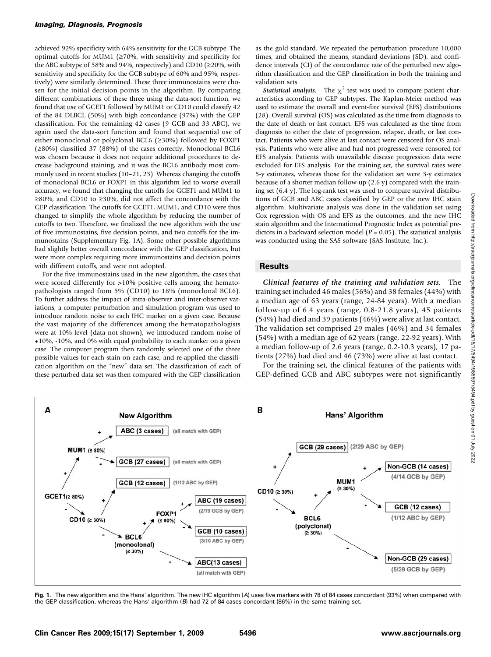achieved 92% specificity with 64% sensitivity for the GCB subtype. The optimal cutoffs for MUM1 ( $\geq$ 70%, with sensitivity and specificity for the ABC subtype of 58% and 94%, respectively) and CD10 ( $\geq$ 20%, with sensitivity and specificity for the GCB subtype of 60% and 95%, respectively) were similarly determined. These three immunostains were chosen for the initial decision points in the algorithm. By comparing different combinations of these three using the data-sort function, we found that use of GCET1 followed by MUM1 or CD10 could classify 42 of the 84 DLBCL (50%) with high concordance (97%) with the GEP classification. For the remaining 42 cases (9 GCB and 33 ABC), we again used the data-sort function and found that sequential use of either monoclonal or polyclonal BCL6 (≥30%) followed by FOXP1 (≥80%) classified 37 (88%) of the cases correctly. Monoclonal BCL6 was chosen because it does not require additional procedures to decrease background staining, and it was the BCL6 antibody most commonly used in recent studies (10–21, 23). Whereas changing the cutoffs of monoclonal BCL6 or FOXP1 in this algorithm led to worse overall accuracy, we found that changing the cutoffs for GCET1 and MUM1 to ≥80%, and CD10 to ≥30%, did not affect the concordance with the GEP classification. The cutoffs for GCET1, MUM1, and CD10 were thus changed to simplify the whole algorithm by reducing the number of cutoffs to two. Therefore, we finalized the new algorithm with the use of five immunostains, five decision points, and two cutoffs for the immunostains (Supplementary Fig. 1A). Some other possible algorithms had slightly better overall concordance with the GEP classification, but were more complex requiring more immunostains and decision points with different cutoffs, and were not adopted.

For the five immunostains used in the new algorithm, the cases that were scored differently for >10% positive cells among the hematopathologists ranged from 5% (CD10) to 18% (monoclonal BCL6). To further address the impact of intra-observer and inter-observer variations, a computer perturbation and simulation program was used to introduce random noise to each IHC marker on a given case. Because the vast majority of the differences among the hematopathologists were at 10% level (data not shown), we introduced random noise of +10%, -10%, and 0% with equal probability to each marker on a given case. The computer program then randomly selected one of the three possible values for each stain on each case, and re-applied the classification algorithm on the "new" data set. The classification of each of these perturbed data set was then compared with the GEP classification

as the gold standard. We repeated the perturbation procedure 10,000 times, and obtained the means, standard deviations (SD), and confidence intervals (CI) of the concordance rate of the perturbed new algorithm classification and the GEP classification in both the training and validation sets.

Statistical analysis. The  $\chi^2$  test was used to compare patient characteristics according to GEP subtypes. The Kaplan-Meier method was used to estimate the overall and event-free survival (EFS) distributions (28). Overall survival (OS) was calculated as the time from diagnosis to the date of death or last contact. EFS was calculated as the time from diagnosis to either the date of progression, relapse, death, or last contact. Patients who were alive at last contact were censored for OS analysis. Patients who were alive and had not progressed were censored for EFS analysis. Patients with unavailable disease progression data were excluded for EFS analysis. For the training set, the survival rates were 5-y estimates, whereas those for the validation set were 3-y estimates because of a shorter median follow-up (2.6 y) compared with the training set (6.4 y). The log-rank test was used to compare survival distributions of GCB and ABC cases classified by GEP or the new IHC stain algorithm. Multivariate analysis was done in the validation set using Cox regression with OS and EFS as the outcomes, and the new IHC stain algorithm and the International Prognostic Index as potential predictors in a backward selection model ( $P = 0.05$ ). The statistical analysis was conducted using the SAS software (SAS Institute, Inc.).

#### **Results**

Clinical features of the training and validation sets. The training set included 46 males (56%) and 38 females (44%) with a median age of 63 years (range, 24-84 years). With a median follow-up of 6.4 years (range, 0.8-21.8 years), 45 patients (54%) had died and 39 patients (46%) were alive at last contact. The validation set comprised 29 males (46%) and 34 females (54%) with a median age of 62 years (range, 22-92 years). With a median follow-up of 2.6 years (range, 0.2-10.3 years), 17 patients (27%) had died and 46 (73%) were alive at last contact.

For the training set, the clinical features of the patients with GEP-defined GCB and ABC subtypes were not significantly



Fig. 1. The new algorithm and the Hans' algorithm. The new IHC algorithm (A) uses five markers with 78 of 84 cases concordant (93%) when compared with the GEP classification, whereas the Hans' algorithm (B) had 72 of 84 cases concordant (86%) in the same training set.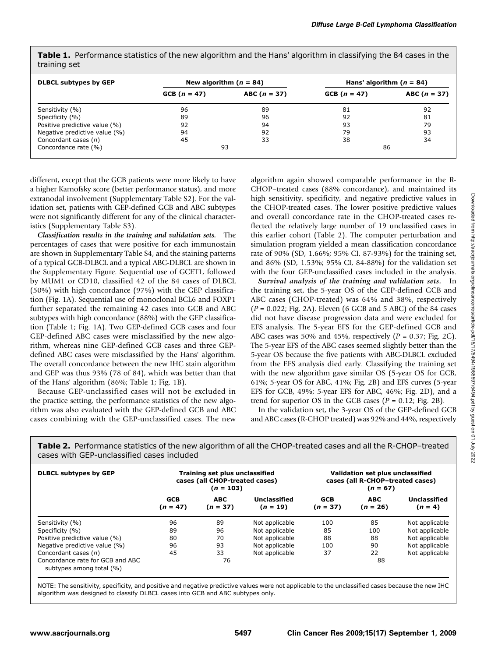| <b>DLBCL subtypes by GEP</b>  |                | New algorithm ( $n = 84$ ) | Hans' algorithm ( $n = 84$ ) |               |  |
|-------------------------------|----------------|----------------------------|------------------------------|---------------|--|
|                               | $GCB (n = 47)$ | ABC $(n = 37)$             | $GCB (n = 47)$               | $ABC(n = 37)$ |  |
| Sensitivity (%)               | 96             | 89                         | 81                           | 92            |  |
| Specificity (%)               | 89             | 96                         | 92                           | 81            |  |
| Positive predictive value (%) | 92             | 94                         | 93                           | 79            |  |
| Negative predictive value (%) | 94             | 92                         | 79                           | 93            |  |
| Concordant cases $(n)$        | 45             | 33                         | 38                           | 34            |  |
| Concordance rate (%)          | 93             |                            | 86                           |               |  |

Table 1. Performance statistics of the new algorithm and the Hans' algorithm in classifying the 84 cases in the training set

different, except that the GCB patients were more likely to have a higher Karnofsky score (better performance status), and more extranodal involvement (Supplementary Table S2). For the validation set, patients with GEP-defined GCB and ABC subtypes were not significantly different for any of the clinical characteristics (Supplementary Table S3).

Classification results in the training and validation sets. The percentages of cases that were positive for each immunostain are shown in Supplementary Table S4, and the staining patterns of a typical GCB-DLBCL and a typical ABC-DLBCL are shown in the Supplementary Figure. Sequential use of GCET1, followed by MUM1 or CD10, classified 42 of the 84 cases of DLBCL (50%) with high concordance (97%) with the GEP classification (Fig. 1A). Sequential use of monoclonal BCL6 and FOXP1 further separated the remaining 42 cases into GCB and ABC subtypes with high concordance (88%) with the GEP classification (Table 1; Fig. 1A). Two GEP-defined GCB cases and four GEP-defined ABC cases were misclassified by the new algorithm, whereas nine GEP-defined GCB cases and three GEPdefined ABC cases were misclassified by the Hans' algorithm. The overall concordance between the new IHC stain algorithm and GEP was thus 93% (78 of 84), which was better than that of the Hans' algorithm (86%; Table 1; Fig. 1B).

Because GEP-unclassified cases will not be excluded in the practice setting, the performance statistics of the new algorithm was also evaluated with the GEP-defined GCB and ABC cases combining with the GEP-unclassified cases. The new algorithm again showed comparable performance in the R-CHOP–treated cases (88% concordance), and maintained its high sensitivity, specificity, and negative predictive values in the CHOP-treated cases. The lower positive predictive values and overall concordance rate in the CHOP-treated cases reflected the relatively large number of 19 unclassified cases in this earlier cohort (Table 2). The computer perturbation and simulation program yielded a mean classification concordance rate of 90% (SD, 1.66%; 95% CI, 87-93%) for the training set, and 86% (SD, 1.53%; 95% CI, 84-88%) for the validation set with the four GEP-unclassified cases included in the analysis.

Survival analysis of the training and validation sets. In the training set, the 5-year OS of the GEP-defined GCB and ABC cases (CHOP-treated) was 64% and 38%, respectively  $(P = 0.022$ ; Fig. 2A). Eleven (6 GCB and 5 ABC) of the 84 cases did not have disease progression data and were excluded for EFS analysis. The 5-year EFS for the GEP-defined GCB and ABC cases was 50% and 45%, respectively  $(P = 0.37; Fig. 2C)$ . The 5-year EFS of the ABC cases seemed slightly better than the 5-year OS because the five patients with ABC-DLBCL excluded from the EFS analysis died early. Classifying the training set with the new algorithm gave similar OS (5-year OS for GCB, 61%; 5-year OS for ABC, 41%; Fig. 2B) and EFS curves (5-year EFS for GCB, 49%; 5-year EFS for ABC, 46%; Fig. 2D), and a trend for superior OS in the GCB cases  $(P = 0.12; Fig. 2B)$ .

In the validation set, the 3-year OS of the GEP-defined GCB and ABC cases (R-CHOP treated) was 92% and 44%, respectively

| <b>DLBCL subtypes by GEP</b>                                 | Training set plus unclassified<br>cases (all CHOP-treated cases)<br>$(n = 103)$ |                          | Validation set plus unclassified<br>cases (all R-CHOP-treated cases)<br>$(n = 67)$ |                          |                          |                                  |
|--------------------------------------------------------------|---------------------------------------------------------------------------------|--------------------------|------------------------------------------------------------------------------------|--------------------------|--------------------------|----------------------------------|
|                                                              | <b>GCB</b><br>$(n = 47)$                                                        | <b>ABC</b><br>$(n = 37)$ | <b>Unclassified</b><br>$(n = 19)$                                                  | <b>GCB</b><br>$(n = 37)$ | <b>ABC</b><br>$(n = 26)$ | <b>Unclassified</b><br>$(n = 4)$ |
| Sensitivity (%)                                              | 96                                                                              | 89                       | Not applicable                                                                     | 100                      | 85                       | Not applicable                   |
| Specificity (%)                                              | 89                                                                              | 96                       | Not applicable                                                                     | 85                       | 100                      | Not applicable                   |
| Positive predictive value (%)                                | 80                                                                              | 70                       | Not applicable                                                                     | 88                       | 88                       | Not applicable                   |
| Negative predictive value (%)                                | 96                                                                              | 93                       | Not applicable                                                                     | 100                      | 90                       | Not applicable                   |
| Concordant cases $(n)$                                       | 45                                                                              | 33                       | Not applicable                                                                     | 37                       | 22                       | Not applicable                   |
| Concordance rate for GCB and ABC<br>subtypes among total (%) |                                                                                 | 76                       |                                                                                    |                          | 88                       |                                  |

Table 2. Performance statistics of the new algorithm of all the CHOP-treated cases and all the R-CHOP-treated cases with GEP-unclassified cases included

NOTE: The sensitivity, specificity, and positive and negative predictive values were not applicable to the unclassified cases because the new IHC algorithm was designed to classify DLBCL cases into GCB and ABC subtypes only.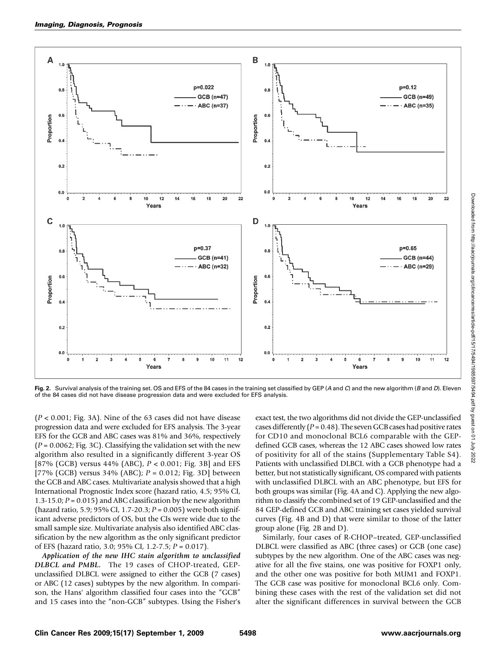

Fig. 2. Survival analysis of the training set. OS and EFS of the 84 cases in the training set classified by GEP (A and C) and the new algorithm (B and D). Eleven of the 84 cases did not have disease progression data and were excluded for EFS analysis.

 $(P < 0.001$ ; Fig. 3A). Nine of the 63 cases did not have disease progression data and were excluded for EFS analysis. The 3-year EFS for the GCB and ABC cases was 81% and 36%, respectively  $(P = 0.0062;$  Fig. 3C). Classifying the validation set with the new algorithm also resulted in a significantly different 3-year OS [87% (GCB) versus 44% (ABC),  $P < 0.001$ ; Fig. 3B] and EFS [77% (GCB) versus 34% (ABC);  $P = 0.012$ ; Fig. 3D] between the GCB and ABC cases. Multivariate analysis showed that a high International Prognostic Index score (hazard ratio, 4.5; 95% CI, 1.3-15.0;  $P = 0.015$ ) and ABC classification by the new algorithm (hazard ratio, 5.9; 95% CI, 1.7-20.3;  $P = 0.005$ ) were both significant adverse predictors of OS, but the CIs were wide due to the small sample size. Multivariate analysis also identified ABC classification by the new algorithm as the only significant predictor of EFS (hazard ratio, 3.0; 95% CI, 1.2-7.5; P = 0.017).

Application of the new IHC stain algorithm to unclassified DLBCL and PMBL. The 19 cases of CHOP-treated, GEPunclassified DLBCL were assigned to either the GCB (7 cases) or ABC (12 cases) subtypes by the new algorithm. In comparison, the Hans' algorithm classified four cases into the "GCB" and 15 cases into the "non-GCB" subtypes. Using the Fisher's exact test, the two algorithms did not divide the GEP-unclassified cases differently ( $P = 0.48$ ). The seven GCB cases had positive rates for CD10 and monoclonal BCL6 comparable with the GEPdefined GCB cases, whereas the 12 ABC cases showed low rates of positivity for all of the stains (Supplementary Table S4). Patients with unclassified DLBCL with a GCB phenotype had a better, but not statistically significant, OS compared with patients with unclassified DLBCL with an ABC phenotype, but EFS for both groups was similar (Fig. 4A and C). Applying the new algorithm to classify the combined set of 19 GEP-unclassified and the 84 GEP-defined GCB and ABC training set cases yielded survival curves (Fig. 4B and D) that were similar to those of the latter group alone (Fig. 2B and D).

Similarly, four cases of R-CHOP–treated, GEP-unclassified DLBCL were classified as ABC (three cases) or GCB (one case) subtypes by the new algorithm. One of the ABC cases was negative for all the five stains, one was positive for FOXP1 only, and the other one was positive for both MUM1 and FOXP1. The GCB case was positive for monoclonal BCL6 only. Combining these cases with the rest of the validation set did not alter the significant differences in survival between the GCB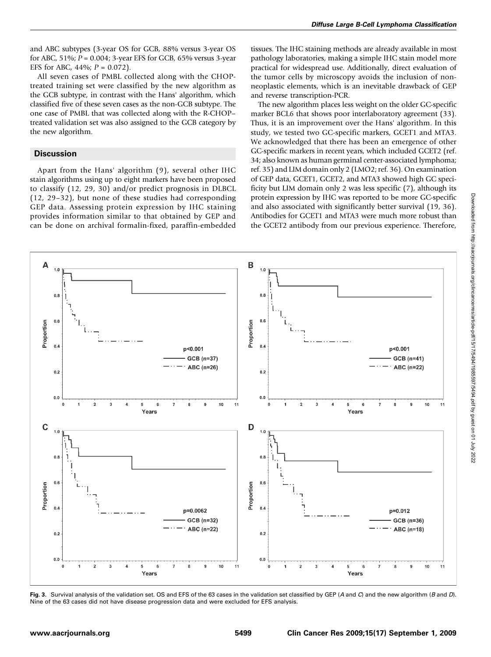and ABC subtypes (3-year OS for GCB, 88% versus 3-year OS for ABC, 51%; P = 0.004; 3-year EFS for GCB, 65% versus 3-year EFS for ABC,  $44\%$ ;  $P = 0.072$ ).

All seven cases of PMBL collected along with the CHOPtreated training set were classified by the new algorithm as the GCB subtype, in contrast with the Hans' algorithm, which classified five of these seven cases as the non-GCB subtype. The one case of PMBL that was collected along with the R-CHOP– treated validation set was also assigned to the GCB category by the new algorithm.

#### **Discussion**

Apart from the Hans' algorithm (9), several other IHC stain algorithms using up to eight markers have been proposed to classify (12, 29, 30) and/or predict prognosis in DLBCL (12, 29–32), but none of these studies had corresponding GEP data. Assessing protein expression by IHC staining provides information similar to that obtained by GEP and can be done on archival formalin-fixed, paraffin-embedded

tissues. The IHC staining methods are already available in most pathology laboratories, making a simple IHC stain model more practical for widespread use. Additionally, direct evaluation of the tumor cells by microscopy avoids the inclusion of nonneoplastic elements, which is an inevitable drawback of GEP and reverse transcription-PCR.

The new algorithm places less weight on the older GC-specific marker BCL6 that shows poor interlaboratory agreement (33). Thus, it is an improvement over the Hans' algorithm. In this study, we tested two GC-specific markers, GCET1 and MTA3. We acknowledged that there has been an emergence of other GC-specific markers in recent years, which included GCET2 (ref. 34; also known as human germinal center-associated lymphoma; ref. 35) and LIM domain only 2 (LMO2; ref. 36). On examination of GEP data, GCET1, GCET2, and MTA3 showed high GC specificity but LIM domain only 2 was less specific (7), although its protein expression by IHC was reported to be more GC-specific and also associated with significantly better survival (19, 36). Antibodies for GCET1 and MTA3 were much more robust than the GCET2 antibody from our previous experience. Therefore,



Fig. 3. Survival analysis of the validation set. OS and EFS of the 63 cases in the validation set classified by GEP (A and C) and the new algorithm (B and D). Nine of the 63 cases did not have disease progression data and were excluded for EFS analysis.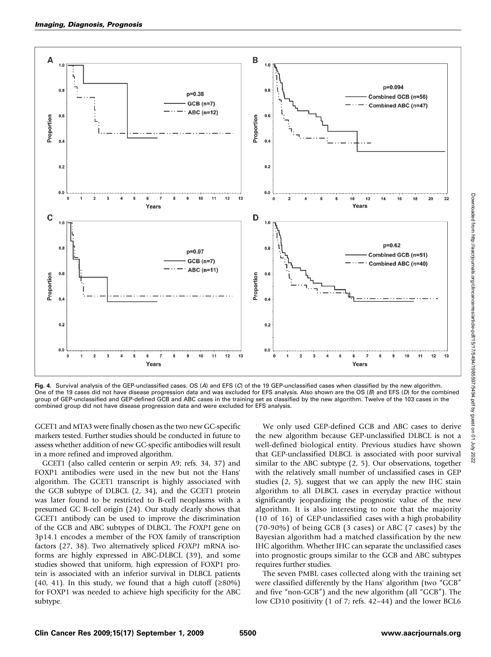

Fig. 4. Survival analysis of the GEP-unclassified cases. OS (A) and EFS (C) of the 19 GEP-unclassified cases when classified by the new algorithm. One of the 19 cases did not have disease progression data and was excluded for EFS analysis. Also shown are the OS (B) and EFS (D) for the combined group of GEP-unclassified and GEP-defined GCB and ABC cases in the training set as classified by the new algorithm. Twelve of the 103 cases in the combined group did not have disease progression data and were excluded for EFS analysis.

GCET1 and MTA3 were finally chosen as the two new GC-specific markers tested. Further studies should be conducted in future to assess whether addition of new GC-specific antibodies will result in a more refined and improved algorithm.

GCET1 (also called centerin or serpin A9; refs. 34, 37) and FOXP1 antibodies were used in the new but not the Hans' algorithm. The GCET1 transcript is highly associated with the GCB subtype of DLBCL (2, 34), and the GCET1 protein was later found to be restricted to B-cell neoplasms with a presumed GC B-cell origin (24). Our study clearly shows that GCET1 antibody can be used to improve the discrimination of the GCB and ABC subtypes of DLBCL. The FOXP1 gene on 3p14.1 encodes a member of the FOX family of transcription factors (27, 38). Two alternatively spliced FOXP1 mRNA isoforms are highly expressed in ABC-DLBCL (39), and some studies showed that uniform, high expression of FOXP1 protein is associated with an inferior survival in DLBCL patients (40, 41). In this study, we found that a high cutoff ( $\geq 80\%$ ) for FOXP1 was needed to achieve high specificity for the ABC subtype.

We only used GEP-defined GCB and ABC cases to derive the new algorithm because GEP-unclassified DLBCL is not a well-defined biological entity. Previous studies have shown that GEP-unclassified DLBCL is associated with poor survival similar to the ABC subtype (2, 5). Our observations, together with the relatively small number of unclassified cases in GEP studies (2, 5), suggest that we can apply the new IHC stain algorithm to all DLBCL cases in everyday practice without significantly jeopardizing the prognostic value of the new algorithm. It is also interesting to note that the majority (10 of 16) of GEP-unclassified cases with a high probability (70-90%) of being GCB (3 cases) or ABC (7 cases) by the Bayesian algorithm had a matched classification by the new IHC algorithm. Whether IHC can separate the unclassified cases into prognostic groups similar to the GCB and ABC subtypes requires further studies.

The seven PMBL cases collected along with the training set were classified differently by the Hans' algorithm (two "GCB" and five "non-GCB") and the new algorithm (all "GCB"). The low CD10 positivity (1 of 7; refs. 42–44) and the lower BCL6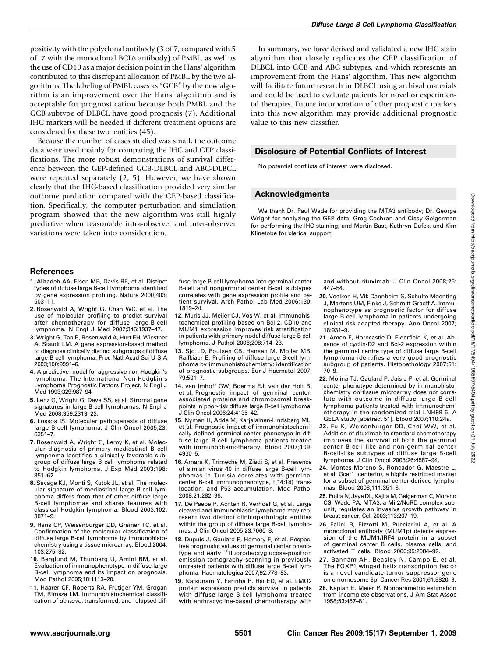positivity with the polyclonal antibody (3 of 7, compared with 5 of 7 with the monoclonal BCL6 antibody) of PMBL, as well as the use of CD10 as a major decision point in the Hans' algorithm contributed to this discrepant allocation of PMBL by the two algorithms. The labeling of PMBL cases as "GCB" by the new algorithm is an improvement over the Hans' algorithm and is acceptable for prognostication because both PMBL and the GCB subtype of DLBCL have good prognosis (7). Additional IHC markers will be needed if different treatment options are considered for these two entities (45).

Because the number of cases studied was small, the outcome data were used mainly for comparing the IHC and GEP classifications. The more robust demonstrations of survival difference between the GEP-defined GCB-DLBCL and ABC-DLBCL were reported separately (2, 5). However, we have shown clearly that the IHC-based classification provided very similar outcome prediction compared with the GEP-based classification. Specifically, the computer perturbation and simulation program showed that the new algorithm was still highly predictive when reasonable intra-observer and inter-observer variations were taken into consideration.

In summary, we have derived and validated a new IHC stain algorithm that closely replicates the GEP classification of DLBCL into GCB and ABC subtypes, and which represents an improvement from the Hans' algorithm. This new algorithm will facilitate future research in DLBCL using archival materials and could be used to evaluate patients for novel or experimental therapies. Future incorporation of other prognostic markers into this new algorithm may provide additional prognostic value to this new classifier.

# Disclosure of Potential Conflicts of Interest

No potential conflicts of interest were disclosed.

# Acknowledgments

We thank Dr. Paul Wade for providing the MTA3 antibody; Dr. George Wright for analyzing the GEP data; Greg Cochran and Cissy Geigerman for performing the IHC staining; and Martin Bast, Kathryn Dufek, and Kim Klinetobe for clerical support.

#### References

- 1. Alizadeh AA, Eisen MB, Davis RE, et al. Distinct types of diffuse large B-cell lymphoma identified by gene expression profiling. Nature 2000;403: 503–11.
- 2. Rosenwald A, Wright G, Chan WC, et al. The use of molecular profiling to predict survival after chemotherapy for diffuse large-B-cell lymphoma. N Engl J Med 2002;346:1937-47.
- 3. Wright G, Tan B, Rosenwald A, Hurt EH, Wiestner A, Staudt LM. A gene expression-based method to diagnose clinically distinct subgroups of diffuse large B cell lymphoma. Proc Natl Acad Sci U S A 2003;100:9991–6.
- 4. A predictive model for aggressive non-Hodgkin's lymphoma. The International Non-Hodgkin's Lymphoma Prognostic Factors Project. N Engl J Med 1993;329:987–94.
- 5. Lenz G, Wright G, Dave SS, et al. Stromal gene signatures in large-B-cell lymphomas. N Engl J Med 2008;359:2313–23.
- 6. Lossos IS. Molecular pathogenesis of diffuse large B-cell lymphoma. J Clin Oncol 2005;23: 6351–7.
- 7. Rosenwald A, Wright G, Leroy K, et al. Molecular diagnosis of primary mediastinal B cell lymphoma identifies a clinically favorable subgroup of diffuse large B cell lymphoma related to Hodgkin lymphoma. J Exp Med 2003;198: 851–62.
- 8. Savage KJ, Monti S, Kutok JL, et al. The molecular signature of mediastinal large B-cell lymphoma differs from that of other diffuse large B-cell lymphomas and shares features with classical Hodgkin lymphoma. Blood 2003;102: 3871–9.
- 9. Hans CP, Weisenburger DD, Greiner TC, et al. Confirmation of the molecular classification of diffuse large B-cell lymphoma by immunohistochemistry using a tissue microarray. Blood 2004; 103:275–82.
- 10. Berglund M, Thunberg U, Amini RM, et al. Evaluation of immunophenotype in diffuse large B-cell lymphoma and its impact on prognosis. Mod Pathol 2005;18:1113–20.
- 11. Haarer CE, Roberts RA, Frutiger YM, Grogan TM, Rimsza LM. Immunohistochemical classification of de novo, transformed, and relapsed dif-

fuse large B-cell lymphoma into germinal center B-cell and nongerminal center B-cell subtypes correlates with gene expression profile and patient survival. Arch Pathol Lab Med 2006;130: 1819–24.

- 12. Muris JJ, Meijer CJ, Vos W, et al. Immunohistochemical profiling based on Bcl-2, CD10 and MUM1 expression improves risk stratification in patients with primary nodal diffuse large B cell lymphoma. JPathol 2006;208:714–23.
- 13. Sjo LD, Poulsen CB, Hansen M, Moller MB, Ralfkiaer E. Profiling of diffuse large B-cell lymphoma by immunohistochemistry: identification of prognostic subgroups. Eur J Haematol 2007; 79:501–7.
- 14. van Imhoff GW, Boerma EJ, van der Holt B, et al. Prognostic impact of germinal centerassociated proteins and chromosomal breakpoints in poor-risk diffuse large B-cell lymphoma. JClin Oncol 2006;24:4135–42.
- 15. Nyman H, Adde M, Karjalainen-Lindsberg ML, et al. Prognostic impact of immunohistochemically defined germinal center phenotype in diffuse large B-cell lymphoma patients treated with immunochemotherapy. Blood 2007;109: 4930–5.
- 16. Amara K, Trimeche M, Ziadi S, et al. Presence of simian virus 40 in diffuse large B-cell lymphomas in Tunisia correlates with germinal center B-cell immunophenotype, t(14;18) translocation, and P53 accumulation. Mod Pathol 2008;21:282–96.
- 17. De Paepe P, Achten R, Verhoef G, et al. Large cleaved and immunoblastic lymphoma may represent two distinct clinicopathologic entities within the group of diffuse large B-cell lymphomas. JClin Oncol 2005;23:7060–8.
- 18. Dupuis J, Gaulard P, Hemery F, et al. Respective prognostic values of germinal center phenotype and early 18fluorodeoxyglucose-positron emission tomography scanning in previously untreated patients with diffuse large B-cell lymphoma. Haematologica 2007;92:778–83.
- 19. Natkunam Y, Farinha P, Hsi ED, et al. LMO2 protein expression predicts survival in patients with diffuse large B-cell lymphoma treated with anthracycline-based chemotherapy with

and without rituximab. J Clin Oncol 2008;26: 447–54.

- 20. Veelken H, Vik Dannheim S, Schulte Moenting J, Martens UM, Finke J, Schmitt-Graeff A. Immunophenotype as prognostic factor for diffuse large B-cell lymphoma in patients undergoing clinical risk-adapted therapy. Ann Oncol 2007; 18:931–9.
- 21. Amen F, Horncastle D, Elderfield K, et al. Absence of cyclin-D2 and Bcl-2 expression within the germinal centre type of diffuse large B-cell lymphoma identifies a very good prognostic subgroup of patients. Histopathology 2007;51: 70–9.
- 22. Molina TJ, Gaulard P, Jais J-P, et al. Germinal center phenotype determined by immunohistochemistry on tissue microarray does not correlate with outcome in diffuse large B-cell lymphoma patients treated with immunochemotherapy in the randomized trial LNH98-5. A GELA study [abstract 51]. Blood 2007;110:24a.
- 23. Fu K, Weisenburger DD, Choi WW, et al. Addition of rituximab to standard chemotherapy improves the survival of both the germinal center B-cell-like and non-germinal center B-cell-like subtypes of diffuse large B-cell lymphoma. JClin Oncol 2008;26:4587–94.
- 24. Montes-Moreno S, Roncador G, Maestre L, et al. Gcet1 (centerin), a highly restricted marker for a subset of germinal center-derived lymphomas. Blood 2008;111:351–8.
- 25. Fujita N, Jaye DL, Kajita M, Geigerman C, Moreno CS, Wade PA. MTA3, a Mi-2/NuRD complex subunit, regulates an invasive growth pathway in breast cancer. Cell 2003;113:207–19.
- 26. Falini B, Fizzotti M, Pucciarini A, et al. A monoclonal antibody (MUM1p) detects expression of the MUM1/IRF4 protein in a subset of germinal center B cells, plasma cells, and activated T cells. Blood 2000;95:2084–92.
- 27. Banham AH, Beasley N, Campo E, et al. The FOXP1 winged helix transcription factor is a novel candidate tumor suppressor gene on chromosome 3p. Cancer Res 2001;61:8820–9.
- 28. Kaplan E, Meier P. Nonparametric estimation from incomplete observations. J Am Stat Assoc 1958;53:457–81.